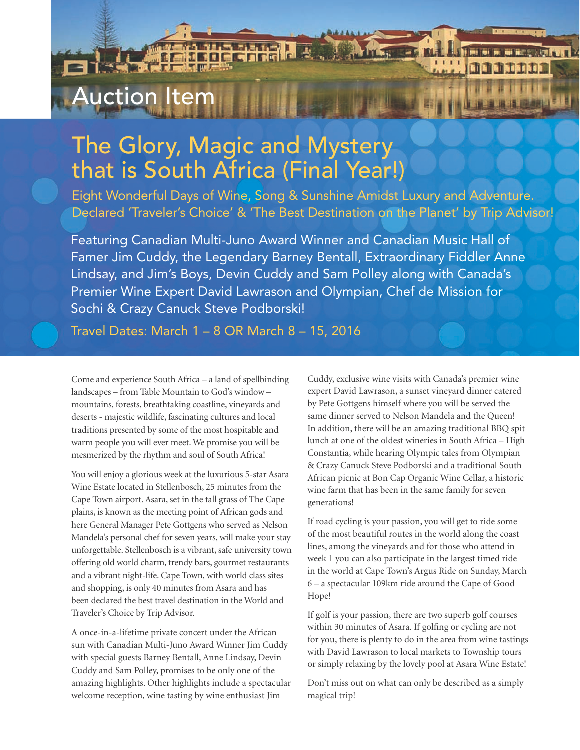## Auction Item

**RUANTI** 

## The Glory, Magic and Mystery that is South Africa (Final Year!)

Eight Wonderful Days of Wine, Song & Sunshine Amidst Luxury and Adventure. Declared 'Traveler's Choice' & 'The Best Destination on the Planet' by Trip Advisor!

Featuring Canadian Multi-Juno Award Winner and Canadian Music Hall of Famer Jim Cuddy, the Legendary Barney Bentall, Extraordinary Fiddler Anne Lindsay, and Jim's Boys, Devin Cuddy and Sam Polley along with Canada's Premier Wine Expert David Lawrason and Olympian, Chef de Mission for Sochi & Crazy Canuck Steve Podborski!

Travel Dates: March 1 – 8 OR March 8 – 15, 2016

Come and experience South Africa – a land of spellbinding landscapes – from Table Mountain to God's window – mountains, forests, breathtaking coastline, vineyards and deserts - majestic wildlife, fascinating cultures and local traditions presented by some of the most hospitable and warm people you will ever meet. We promise you will be mesmerized by the rhythm and soul of South Africa!

You will enjoy a glorious week at the luxurious 5-star Asara Wine Estate located in Stellenbosch, 25 minutes from the Cape Town airport. Asara, set in the tall grass of The Cape plains, is known as the meeting point of African gods and here General Manager Pete Gottgens who served as Nelson Mandela's personal chef for seven years, will make your stay unforgettable. Stellenbosch is a vibrant, safe university town offering old world charm, trendy bars, gourmet restaurants and a vibrant night-life. Cape Town, with world class sites and shopping, is only 40 minutes from Asara and has been declared the best travel destination in the World and Traveler's Choice by Trip Advisor.

A once-in-a-lifetime private concert under the African sun with Canadian Multi-Juno Award Winner Jim Cuddy with special guests Barney Bentall, Anne Lindsay, Devin Cuddy and Sam Polley, promises to be only one of the amazing highlights. Other highlights include a spectacular welcome reception, wine tasting by wine enthusiast Jim

Cuddy, exclusive wine visits with Canada's premier wine expert David Lawrason, a sunset vineyard dinner catered by Pete Gottgens himself where you will be served the same dinner served to Nelson Mandela and the Queen! In addition, there will be an amazing traditional BBQ spit lunch at one of the oldest wineries in South Africa – High Constantia, while hearing Olympic tales from Olympian & Crazy Canuck Steve Podborski and a traditional South African picnic at Bon Cap Organic Wine Cellar, a historic wine farm that has been in the same family for seven generations!

If road cycling is your passion, you will get to ride some of the most beautiful routes in the world along the coast lines, among the vineyards and for those who attend in week 1 you can also participate in the largest timed ride in the world at Cape Town's Argus Ride on Sunday, March 6 – a spectacular 109km ride around the Cape of Good Hope!

If golf is your passion, there are two superb golf courses within 30 minutes of Asara. If golfing or cycling are not for you, there is plenty to do in the area from wine tastings with David Lawrason to local markets to Township tours or simply relaxing by the lovely pool at Asara Wine Estate!

Don't miss out on what can only be described as a simply magical trip!